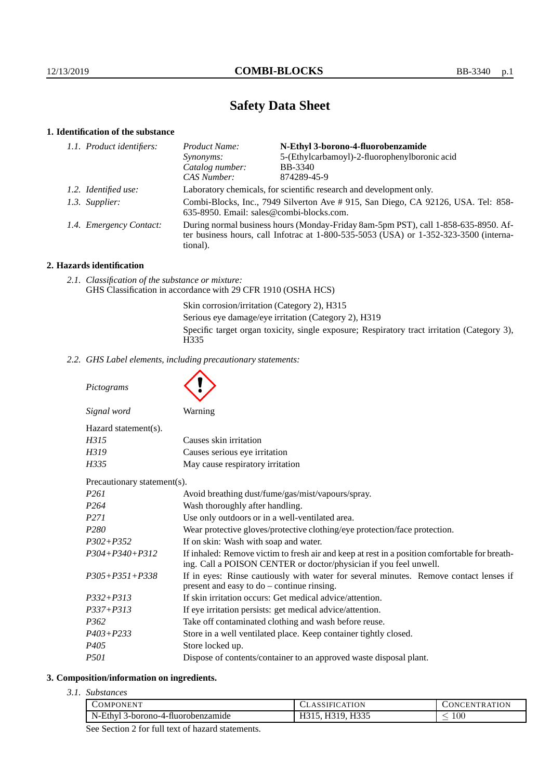# **Safety Data Sheet**

# **1. Identification of the substance**

| 1.1. Product identifiers: | Product Name:                                                                                                                                                                               | N-Ethyl 3-borono-4-fluorobenzamide            |
|---------------------------|---------------------------------------------------------------------------------------------------------------------------------------------------------------------------------------------|-----------------------------------------------|
|                           | Synonyms:                                                                                                                                                                                   | 5-(Ethylcarbamoyl)-2-fluorophenylboronic acid |
|                           | Catalog number:                                                                                                                                                                             | <b>BB-3340</b>                                |
|                           | CAS Number:                                                                                                                                                                                 | 874289-45-9                                   |
| 1.2. Identified use:      | Laboratory chemicals, for scientific research and development only.                                                                                                                         |                                               |
| 1.3. Supplier:            | Combi-Blocks, Inc., 7949 Silverton Ave # 915, San Diego, CA 92126, USA. Tel: 858-<br>635-8950. Email: sales@combi-blocks.com.                                                               |                                               |
| 1.4. Emergency Contact:   | During normal business hours (Monday-Friday 8am-5pm PST), call 1-858-635-8950. Af-<br>ter business hours, call Infotrac at $1-800-535-5053$ (USA) or $1-352-323-3500$ (interna-<br>tional). |                                               |

# **2. Hazards identification**

*2.1. Classification of the substance or mixture:* GHS Classification in accordance with 29 CFR 1910 (OSHA HCS)

> Skin corrosion/irritation (Category 2), H315 Serious eye damage/eye irritation (Category 2), H319 Specific target organ toxicity, single exposure; Respiratory tract irritation (Category 3), H335

*2.2. GHS Label elements, including precautionary statements:*

*Pictograms*

 $\blacktriangle$ 

| Signal word                              | Warning                                                                        |
|------------------------------------------|--------------------------------------------------------------------------------|
| $Hazard statement(s)$ .                  |                                                                                |
| H315                                     | Causes skin irritation                                                         |
| H319                                     | Causes serious eye irritation                                                  |
| May cause respiratory irritation<br>H335 |                                                                                |
| Precautionary statement(s).              |                                                                                |
| $\Gamma$                                 | A $\sim$ 11 $\sim$ $\sim$ 1.1 $\sim$ 1 $\sim$ 10 $\sim$ 1. $\sim$ 1. $\sim$ 1. |

| Avoid breathing dust/fume/gas/mist/vapours/spray.                                                                                                                  |  |
|--------------------------------------------------------------------------------------------------------------------------------------------------------------------|--|
| Wash thoroughly after handling.                                                                                                                                    |  |
| Use only outdoors or in a well-ventilated area.                                                                                                                    |  |
| Wear protective gloves/protective clothing/eye protection/face protection.                                                                                         |  |
| If on skin: Wash with soap and water.                                                                                                                              |  |
| If inhaled: Remove victim to fresh air and keep at rest in a position comfortable for breath-<br>ing. Call a POISON CENTER or doctor/physician if you feel unwell. |  |
| If in eyes: Rinse cautiously with water for several minutes. Remove contact lenses if<br>present and easy to $do$ – continue rinsing.                              |  |
| If skin irritation occurs: Get medical advice/attention.                                                                                                           |  |
| If eye irritation persists: get medical advice/attention.                                                                                                          |  |
| Take off contaminated clothing and wash before reuse.                                                                                                              |  |
| Store in a well ventilated place. Keep container tightly closed.                                                                                                   |  |
| Store locked up.                                                                                                                                                   |  |
| Dispose of contents/container to an approved waste disposal plant.                                                                                                 |  |
|                                                                                                                                                                    |  |

#### **3. Composition/information on ingredients.**

*3.1. Substances*

| COMPONENT                             | 'ATION<br>SIFIC                             | NTR ATION<br>$\overline{N}$<br>'HN' |
|---------------------------------------|---------------------------------------------|-------------------------------------|
| N-Ethyl<br>3-borono-4-fluorobenzamide | H335<br>1210 H <sub>2</sub><br>11J<br>11JJJ | $100\,$                             |
|                                       |                                             |                                     |

See Section 2 for full text of hazard statements.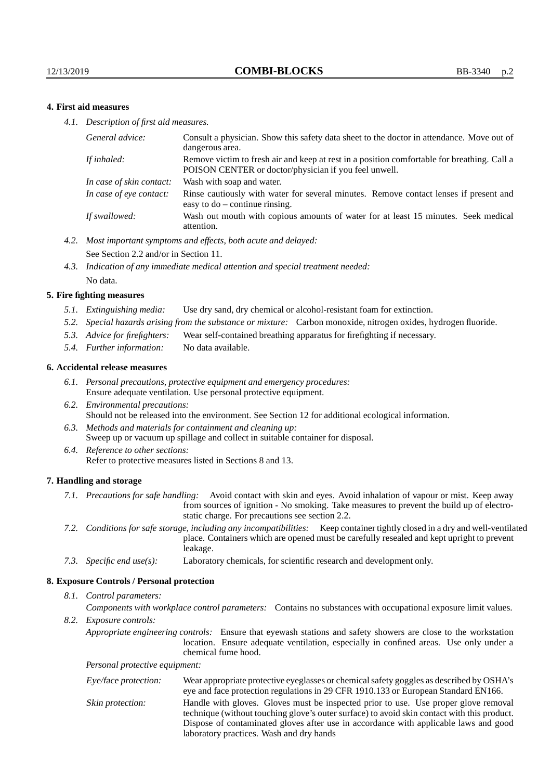## **4. First aid measures**

*4.1. Description of first aid measures.*

| General advice:          | Consult a physician. Show this safety data sheet to the doctor in attendance. Move out of<br>dangerous area.                                         |
|--------------------------|------------------------------------------------------------------------------------------------------------------------------------------------------|
| If inhaled:              | Remove victim to fresh air and keep at rest in a position comfortable for breathing. Call a<br>POISON CENTER or doctor/physician if you feel unwell. |
| In case of skin contact: | Wash with soap and water.                                                                                                                            |
| In case of eye contact:  | Rinse cautiously with water for several minutes. Remove contact lenses if present and<br>easy to $do$ – continue rinsing.                            |
| If swallowed:            | Wash out mouth with copious amounts of water for at least 15 minutes. Seek medical<br>attention.                                                     |

- *4.2. Most important symptoms and effects, both acute and delayed:* See Section 2.2 and/or in Section 11.
- *4.3. Indication of any immediate medical attention and special treatment needed:* No data.

#### **5. Fire fighting measures**

- *5.1. Extinguishing media:* Use dry sand, dry chemical or alcohol-resistant foam for extinction.
- *5.2. Special hazards arising from the substance or mixture:* Carbon monoxide, nitrogen oxides, hydrogen fluoride.
- *5.3. Advice for firefighters:* Wear self-contained breathing apparatus for firefighting if necessary.
- *5.4. Further information:* No data available.

#### **6. Accidental release measures**

- *6.1. Personal precautions, protective equipment and emergency procedures:* Ensure adequate ventilation. Use personal protective equipment.
- *6.2. Environmental precautions:* Should not be released into the environment. See Section 12 for additional ecological information.
- *6.3. Methods and materials for containment and cleaning up:* Sweep up or vacuum up spillage and collect in suitable container for disposal.
- *6.4. Reference to other sections:* Refer to protective measures listed in Sections 8 and 13.

#### **7. Handling and storage**

- *7.1. Precautions for safe handling:* Avoid contact with skin and eyes. Avoid inhalation of vapour or mist. Keep away from sources of ignition - No smoking. Take measures to prevent the build up of electrostatic charge. For precautions see section 2.2.
- *7.2. Conditions for safe storage, including any incompatibilities:* Keep container tightly closed in a dry and well-ventilated place. Containers which are opened must be carefully resealed and kept upright to prevent leakage.
- *7.3. Specific end use(s):* Laboratory chemicals, for scientific research and development only.

#### **8. Exposure Controls / Personal protection**

*8.1. Control parameters:*

*Components with workplace control parameters:* Contains no substances with occupational exposure limit values.

*8.2. Exposure controls:*

*Appropriate engineering controls:* Ensure that eyewash stations and safety showers are close to the workstation location. Ensure adequate ventilation, especially in confined areas. Use only under a chemical fume hood.

*Personal protective equipment:*

| Eye/face protection: | Wear appropriate protective eyeglasses or chemical safety goggles as described by OSHA's<br>eye and face protection regulations in 29 CFR 1910.133 or European Standard EN166.                                                                                                                                         |
|----------------------|------------------------------------------------------------------------------------------------------------------------------------------------------------------------------------------------------------------------------------------------------------------------------------------------------------------------|
| Skin protection:     | Handle with gloves. Gloves must be inspected prior to use. Use proper glove removal<br>technique (without touching glove's outer surface) to avoid skin contact with this product.<br>Dispose of contaminated gloves after use in accordance with applicable laws and good<br>laboratory practices. Wash and dry hands |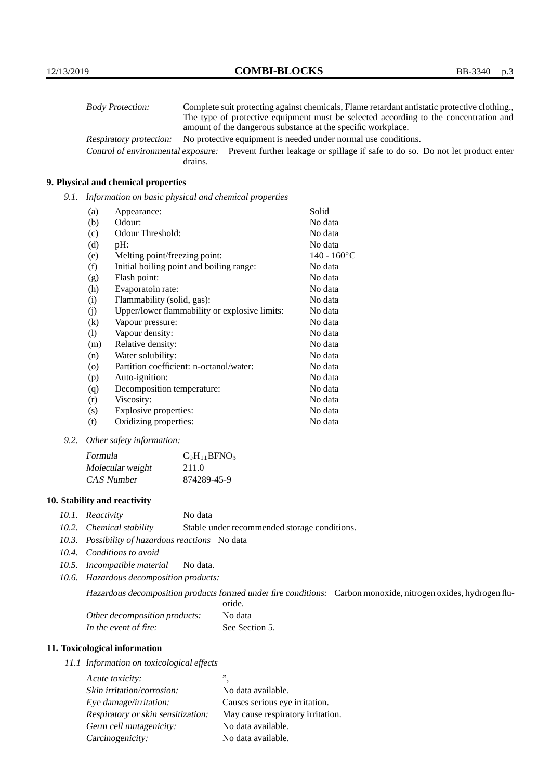| <b>Body Protection:</b> | Complete suit protecting against chemicals, Flame retardant antistatic protective clothing.                       |
|-------------------------|-------------------------------------------------------------------------------------------------------------------|
|                         | The type of protective equipment must be selected according to the concentration and                              |
|                         | amount of the dangerous substance at the specific workplace.                                                      |
| Respiratory protection: | No protective equipment is needed under normal use conditions.                                                    |
|                         | Control of environmental exposure: Prevent further leakage or spillage if safe to do so. Do not let product enter |
|                         | drains.                                                                                                           |

## **9. Physical and chemical properties**

*9.1. Information on basic physical and chemical properties*

| (a)                        | Appearance:                                   | Solid                |
|----------------------------|-----------------------------------------------|----------------------|
| (b)                        | Odour:                                        | No data              |
| (c)                        | Odour Threshold:                              | No data              |
| (d)                        | pH:                                           | No data              |
| (e)                        | Melting point/freezing point:                 | $140 - 160^{\circ}C$ |
| (f)                        | Initial boiling point and boiling range:      | No data              |
| (g)                        | Flash point:                                  | No data              |
| (h)                        | Evaporatoin rate:                             | No data              |
| (i)                        | Flammability (solid, gas):                    | No data              |
| (j)                        | Upper/lower flammability or explosive limits: | No data              |
| $\left( k\right)$          | Vapour pressure:                              | No data              |
| $\left( \mathrm{l}\right)$ | Vapour density:                               | No data              |
| (m)                        | Relative density:                             | No data              |
| (n)                        | Water solubility:                             | No data              |
| $\circ$                    | Partition coefficient: n-octanol/water:       | No data              |
| (p)                        | Auto-ignition:                                | No data              |
| (q)                        | Decomposition temperature:                    | No data              |
| (r)                        | Viscosity:                                    | No data              |
| (s)                        | Explosive properties:                         | No data              |
| (t)                        | Oxidizing properties:                         | No data              |

*9.2. Other safety information:*

| Formula          | $C_9H_{11}BFNO_3$ |
|------------------|-------------------|
| Molecular weight | 211.0             |
| CAS Number       | 874289-45-9       |

## **10. Stability and reactivity**

- *10.1. Reactivity* No data
- *10.2. Chemical stability* Stable under recommended storage conditions.
- *10.3. Possibility of hazardous reactions* No data
- *10.4. Conditions to avoid*
- *10.5. Incompatible material* No data.
- *10.6. Hazardous decomposition products:*

Hazardous decomposition products formed under fire conditions: Carbon monoxide, nitrogen oxides, hydrogen flu-

|                               | oride.         |
|-------------------------------|----------------|
| Other decomposition products: | No data        |
| In the event of fire:         | See Section 5. |

## **11. Toxicological information**

*11.1 Information on toxicological effects*

| Acute toxicity:                    | ,,                                |
|------------------------------------|-----------------------------------|
| Skin irritation/corrosion:         | No data available.                |
| Eye damage/irritation:             | Causes serious eye irritation.    |
| Respiratory or skin sensitization: | May cause respiratory irritation. |
| Germ cell mutagenicity:            | No data available.                |
| Carcinogenicity:                   | No data available.                |